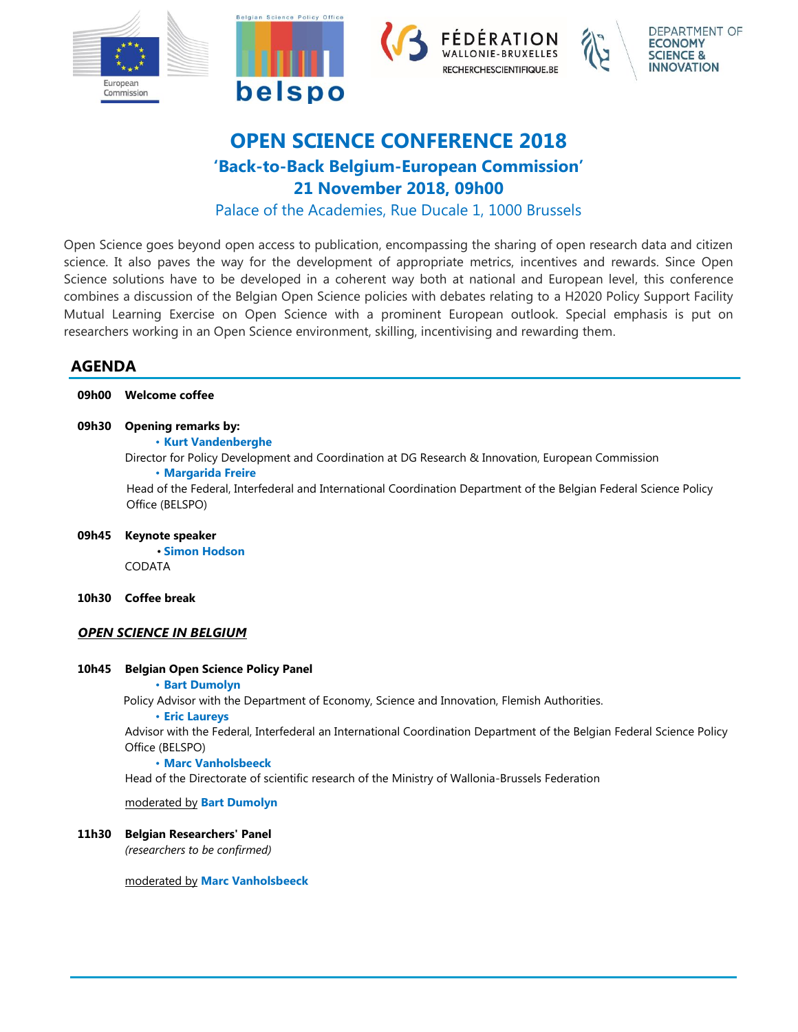

# **OPEN SCIENCE CONFERENCE 2018 'Back-to-Back Belgium-European Commission' 21 November 2018, 09h00**

Palace of the Academies, Rue Ducale 1, 1000 Brussels

Open Science goes beyond open access to publication, encompassing the sharing of open research data and citizen science. It also paves the way for the development of appropriate metrics, incentives and rewards. Since Open Science solutions have to be developed in a coherent way both at national and European level, this conference combines a discussion of the Belgian Open Science policies with debates relating to a H2020 Policy Support Facility Mutual Learning Exercise on Open Science with a prominent European outlook. Special emphasis is put on researchers working in an Open Science environment, skilling, incentivising and rewarding them.

## **AGENDA**

| Welcome coffee                                                                                                                                                                      |
|-------------------------------------------------------------------------------------------------------------------------------------------------------------------------------------|
| <b>Opening remarks by:</b><br><b>· Kurt Vandenberghe</b><br>Director for Policy Development and Coordination at DG Research & Innovation, European Commission<br>· Margarida Freire |
| Head of the Federal, Interfederal and International Coordination Department of the Belgian Federal Science Policy<br>Office (BELSPO)                                                |
| Keynote speaker<br><b>• Simon Hodson</b>                                                                                                                                            |
| <b>CODATA</b>                                                                                                                                                                       |
| <b>Coffee break</b>                                                                                                                                                                 |
| <b>OPEN SCIENCE IN BELGIUM</b>                                                                                                                                                      |
| <b>Belgian Open Science Policy Panel</b><br><b>· Bart Dumolyn</b>                                                                                                                   |
| Policy Advisor with the Department of Economy, Science and Innovation, Flemish Authorities.<br><b>· Eric Laureys</b>                                                                |
| Advisor with the Federal, Interfederal an International Coordination Department of the Belgian Federal Science Policy<br>Office (BELSPO)<br>• Marc Vanholsbeeck                     |
|                                                                                                                                                                                     |

Head of the Directorate of scientific research of the Ministry of Wallonia-Brussels Federation

moderated by **Bart Dumolyn**

### **11h30 Belgian Researchers' Panel**

*(researchers to be confirmed)*

#### moderated by **Marc Vanholsbeeck**